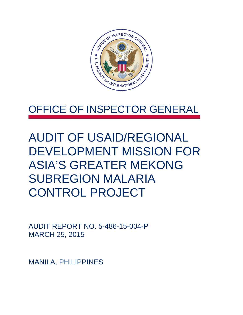

## OFFICE OF INSPECTOR GENERAL

AUDIT OF USAID/REGIONAL DEVELOPMENT MISSION FOR ASIA'S GREATER MEKONG SUBREGION MALARIA CONTROL PROJECT

AUDIT REPORT NO. 5-486-15-004-P MARCH 25, 2015

MANILA, PHILIPPINES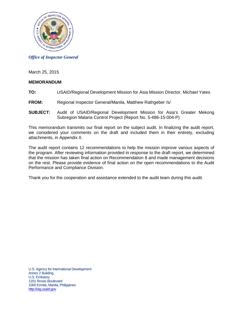

*Office of Inspector General*

March 25, 2015

#### **MEMORANDUM**

- **TO:** USAID/Regional Development Mission for Asia Mission Director, Michael Yates
- **FROM:** Regional Inspector General/Manila, Matthew Rathgeber /s/
- **SUBJECT:** Audit of USAID/Regional Development Mission for Asia's Greater Mekong Subregion Malaria Control Project (Report No. 5-486-15-004-P)

This memorandum transmits our final report on the subject audit. In finalizing the audit report, we considered your comments on the draft and included them in their entirety, excluding attachments, in Appendix II.

The audit report contains 12 recommendations to help the mission improve various aspects of the program. After reviewing information provided in response to the draft report, we determined that the mission has taken final action on Recommendation 8 and made management decisions on the rest. Please provide evidence of final action on the open recommendations to the Audit Performance and Compliance Division.

Thank you for the cooperation and assistance extended to the audit team during this audit.

U.S. Agency for International Development Annex 2 Building U.S. Embassy 1201 Roxas Boulevard 1000 Ermita, Manila, Philippines [http://oig.usaid.gov](http://oig.usaid.gov/)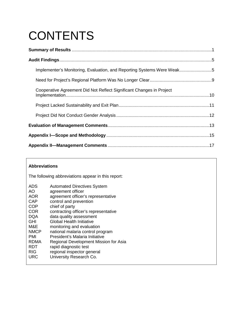# **CONTENTS**

| Implementer's Monitoring, Evaluation, and Reporting Systems Were Weak5 |  |
|------------------------------------------------------------------------|--|
|                                                                        |  |
| Cooperative Agreement Did Not Reflect Significant Changes in Project   |  |
|                                                                        |  |
|                                                                        |  |
|                                                                        |  |
|                                                                        |  |
|                                                                        |  |

#### **Abbreviations**

The following abbreviations appear in this report:

| ADS         | <b>Automated Directives System</b>    |
|-------------|---------------------------------------|
| AO          | agreement officer                     |
| <b>AOR</b>  | agreement officer's representative    |
| CAP         | control and prevention                |
| <b>COP</b>  | chief of party                        |
| <b>COR</b>  | contracting officer's representative  |
| <b>DQA</b>  | data quality assessment               |
| <b>GHI</b>  | <b>Global Health Initiative</b>       |
| M&E         | monitoring and evaluation             |
| <b>NMCP</b> | national malaria control program      |
| PMI         | President's Malaria Initiative        |
| <b>RDMA</b> | Regional Development Mission for Asia |
| RDT         | rapid diagnostic test                 |
| <b>RIG</b>  | regional inspector general            |
| URC         | University Research Co.               |
|             |                                       |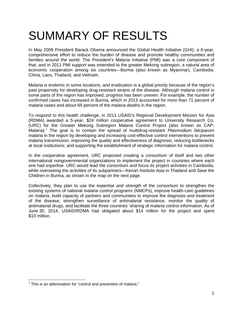## <span id="page-3-0"></span>SUMMARY OF RESULTS

In May 2009 President Barack Obama announced the Global Health Initiative (GHI), a 6-year, comprehensive effort to reduce the burden of disease and promote healthy communities and families around the world. The President's Malaria Initiative (PMI) was a core component of that, and in 2011 PMI support was extended to the greater Mekong subregion, a natural area of economic cooperation among six countries—Burma (also known as Myanmar), Cambodia, China, Laos, Thailand, and Vietnam.

Malaria is endemic in some locations, and eradication is a global priority because of the region's past propensity for developing drug-resistant strains of the disease. Although malaria control in some parts of the region has improved, progress has been uneven. For example, the number of confirmed cases has increased in Burma, which in 2013 accounted for more than 71 percent of malaria cases and about 69 percent of the malaria deaths in the region.

To respond to this health challenge, in 2011 USAID's Regional Development Mission for Asia (RDMA) awarded a 5-year, \$24 million cooperative agreement to University Research Co. (URC) for the Greater Mekong Subregion Malaria Control Project (also known as CAP-Malaria). [1](#page-3-1) The goal is to contain the spread of multidrug-resistant *Plasmodium falciparum* malaria in the region by developing and increasing cost-effective control interventions to prevent malaria transmission; improving the quality and effectiveness of diagnosis; reducing bottlenecks at local institutions; and supporting the establishment of strategic information for malaria control.

In the cooperative agreement, URC proposed creating a consortium of itself and two other international nongovernmental organizations to implement the project in countries where each one had expertise. URC would lead the consortium and focus its project activities in Cambodia, while overseeing the activities of its subpartners—Kenan Institute Asia in Thailand and Save the Children in Burma, as shown in the map on the next page.

Collectively, they plan to use the expertise and strength of the consortium to strengthen the existing systems of national malaria control programs (NMCPs), improve health-care guidelines on malaria, build capacity of partners and communities to improve the diagnosis and treatment of the disease, strengthen surveillance of antimalarial resistance, monitor the quality of antimalarial drugs, and facilitate the three countries' sharing of malaria control information. As of June 30, 2014, USAID/RDMA had obligated about \$14 million for the project and spent \$10 million.

<span id="page-3-1"></span> $1$  This is an abbreviation for "control and prevention of malaria."  $\overline{\phantom{a}}$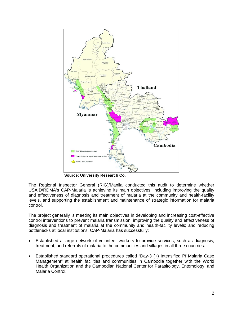

**Source: University Research Co.**

The Regional Inspector General (RIG)/Manila conducted this audit to determine whether USAID/RDMA's CAP-Malaria is achieving its main objectives, including improving the quality and effectiveness of diagnosis and treatment of malaria at the community and health-facility levels, and supporting the establishment and maintenance of strategic information for malaria control.

The project generally is meeting its main objectives in developing and increasing cost-effective control interventions to prevent malaria transmission; improving the quality and effectiveness of diagnosis and treatment of malaria at the community and health-facility levels; and reducing bottlenecks at local institutions. CAP-Malaria has successfully:

- Established a large network of volunteer workers to provide services, such as diagnosis, treatment, and referrals of malaria to the communities and villages in all three countries.
- Established standard operational procedures called "Day-3 (+) Intensified Pf Malaria Case Management" at health facilities and communities in Cambodia together with the World Health Organization and the Cambodian National Center for Parasitology, Entomology, and Malaria Control.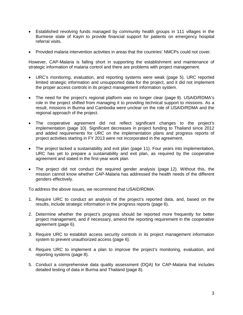- Established revolving funds managed by community health groups in 111 villages in the Burmese state of Kayin to provide financial support for patients on emergency hospital referral visits.
- Provided malaria intervention activities in areas that the countries' NMCPs could not cover.

However, CAP-Malaria is falling short in supporting the establishment and maintenance of strategic information of malaria control and there are problems with project management.

- URC's monitoring, evaluation, and reporting systems were weak (page [5\)](#page-7-1). URC reported limited strategic information and unsupported data for the project, and it did not implement the proper access controls in its project management information system.
- The need for the project's regional platform was no longer clear (page [9\)](#page-11-0). USAID/RDMA's role in the project shifted from managing it to providing technical support to missions. As a result, missions in Burma and Cambodia were unclear on the role of USAID/RDMA and the regional approach of the project.
- The cooperative agreement did not reflect significant changes to the project's implementation (page [10\)](#page-12-0). Significant decreases in project funding to Thailand since 2012 and added requirements for URC on the implementation plans and progress reports of project activities starting in FY 2013 were not incorporated in the agreement.
- The project lacked a sustainability and exit plan (page [11\)](#page-13-0). Four years into implementation, URC has yet to prepare a sustainability and exit plan, as required by the cooperative agreement and stated in the first-year work plan.
- The project did not conduct the required gender analysis (page [12\)](#page-14-0). Without this, the mission cannot know whether CAP-Malaria has addressed the health needs of the different genders effectively.

To address the above issues, we recommend that USAID/RDMA:

- 1. Require URC to conduct an analysis of the project's reported data, and, based on the results, include strategic information in the progress reports (page [6\)](#page-8-0).
- 2. Determine whether the project's progress should be reported more frequently for better project management, and if necessary, amend the reporting requirement in the cooperative agreement (page [6\)](#page-8-1).
- 3. Require URC to establish access security controls in its project management information system to prevent unauthorized access (page [6\)](#page-8-2).
- 4. Require URC to implement a plan to improve the project's monitoring, evaluation, and reporting systems (page [8\)](#page-10-0).
- 5. Conduct a comprehensive data quality assessment (DQA) for CAP-Malaria that includes detailed testing of data in Burma and Thailand (page [8\)](#page-10-1).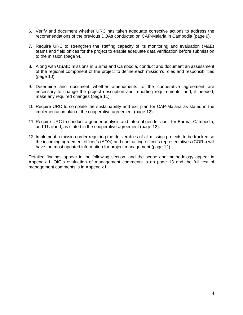- 6. Verify and document whether URC has taken adequate corrective actions to address the recommendations of the previous DQAs conducted on CAP-Malaria in Cambodia (page [9\)](#page-11-1).
- 7. Require URC to strengthen the staffing capacity of its monitoring and evaluation (M&E) teams and field offices for the project to enable adequate data verification before submission to the mission (page [9\)](#page-11-2).
- 8. Along with USAID missions in Burma and Cambodia, conduct and document an assessment of the regional component of the project to define each mission's roles and responsibilities (page [10\)](#page-12-1).
- 9. Determine and document whether amendments to the cooperative agreement are necessary to change the project description and reporting requirements, and, if needed, make any required changes (page [11\)](#page-13-1).
- 10. Require URC to complete the sustainability and exit plan for CAP-Malaria as stated in the implementation plan of the cooperative agreement (page [12\)](#page-14-2).
- 11. Require URC to conduct a gender analysis and internal gender audit for Burma, Cambodia, and Thailand, as stated in the cooperative agreement (page [12\)](#page-14-3).
- 12. Implement a mission order requiring the deliverables of all mission projects to be tracked so the incoming agreement officer's (AO's) and contracting officer's representatives (CORs) will have the most updated information for project management (page [12\)](#page-14-4).

Detailed findings appear in the following section, and the scope and methodology appear in Appendix I. OIG's evaluation of management comments is on page 13 and the full text of management comments is in Appendix II.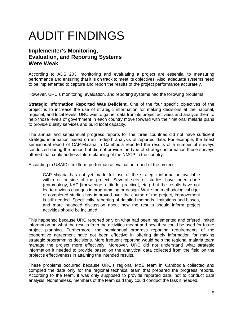## <span id="page-7-0"></span>AUDIT FINDINGS

### **Implementer's Monitoring, Evaluation, and Reporting Systems Were Weak**

<span id="page-7-1"></span>According to ADS 203, monitoring and evaluating a project are essential to measuring performance and ensuring that it is on track to meet its objectives. Also, adequate systems need to be implemented to capture and report the results of the project performance accurately.

However, URC's monitoring, evaluation, and reporting systems had the following problems.

**Strategic Information Reported Was Deficient.** One of the four specific objectives of the project is to increase the use of strategic information for making decisions at the national, regional, and local levels. URC was to gather data from its project activities and analyze them to help those levels of government in each country move forward with their national malaria plans to provide quality services and build local capacity.

The annual and semiannual progress reports for the three countries did not have sufficient strategic information based on an in-depth analysis of reported data. For example, the latest semiannual report of CAP-Malaria in Cambodia reported the results of a number of surveys conducted during the period but did not provide the type of strategic information those surveys offered that could address future planning of the NMCP in the country.

According to USAID's midterm performance evaluation report of the project:

CAP-Malaria has not yet made full use of the strategic information available within or outside of the project. Several sets of studies have been done (entomology, KAP [knowledge, attitude, practice], etc.), but the results have not led to obvious changes in programming or design. While the methodological rigor of completed studies has improved over the course of the project, improvement is still needed. Specifically, reporting of detailed methods, limitations and biases, and more nuanced discussion about how the results should inform project activities should be included.

This happened because URC reported only on what had been implemented and offered limited information on what the results from the activities meant and how they could be used for future project planning. Furthermore, the semiannual progress reporting requirements of the cooperative agreement have not been effective in offering timely information for making strategic programming decisions. More frequent reporting would help the regional malaria team manage the project more effectively. Moreover, URC did not understand what strategic information it needed to provide based on the analytical data collected from the field on the project's effectiveness in attaining the intended results.

These problems occurred because URC's regional M&E team in Cambodia collected and compiled the data only for the regional technical team that prepared the progress reports. According to the team, it was only supposed to provide reported data, not to conduct data analysis. Nonetheless, members of the team said they could conduct the task if needed.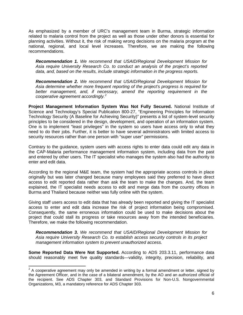As emphasized by a member of URC's management team in Burma, strategic information related to malaria control from the project as well as those under other donors is essential for planning activities. Without it, the risk of making wrong decisions on the malaria program at the national, regional, and local level increases. Therefore, we are making the following recommendations.

<span id="page-8-0"></span>*Recommendation 1. We recommend that USAID/Regional Development Mission for Asia require University Research Co. to conduct an analysis of the project's reported data, and, based on the results, include strategic information in the progress reports.*

<span id="page-8-1"></span>*Recommendation 2. We recommend that USAID/Regional Development Mission for Asia determine whether more frequent reporting of the project's progress is required for better management, and, if necessary, amend the reporting requirement in the cooperative agreement accordingly.[2](#page-8-3)*

**Project Management Information System Was Not Fully Secured.** National Institute of Science and Technology's Special Publication 800-27, "Engineering Principles for Information Technology Security (A Baseline for Achieving Security)" presents a list of system-level security principles to be considered in the design, development, and operation of an information system. One is to implement "least privileges" in the system so users have access only to what they need to do their jobs. Further, it is better to have several administrators with limited access to security resources rather than one person with "super user" permissions.

Contrary to the guidance, system users with access rights to enter data could edit any data in the CAP-Malaria performance management information system, including data from the past and entered by other users. The IT specialist who manages the system also had the authority to enter and edit data.

According to the regional M&E team, the system had the appropriate access controls in place originally but was later changed because many employees said they preferred to have direct access to edit reported data rather than ask the team to make the changes. And, the team explained, the IT specialist needs access to edit and merge data from the country offices in Burma and Thailand because neither was fully online with the system.

Giving staff users access to edit data that has already been reported and giving the IT specialist access to enter and edit data increase the risk of project information being compromised. Consequently, the same erroneous information could be used to make decisions about the project that could stall its progress or take resources away from the intended beneficiaries. Therefore, we make the following recommendation.

<span id="page-8-2"></span>*Recommendation 3. We recommend that USAID/Regional Development Mission for Asia require University Research Co. to establish access security controls in its project management information system to prevent unauthorized access.*

**Some Reported Data Were Not Supported.** According to ADS 203.3.11, performance data should reasonably meet five quality standards—validity, integrity, precision, reliability, and

<span id="page-8-3"></span> $2$  A cooperative agreement may only be amended in writing by a formal amendment or letter, signed by the Agreement Officer, and in the case of a bilateral amendment, by the AO and an authorized official of the recipient. See ADS Chapter 303, and Standard Provisions for Non-U.S. Nongovernmental Organizations, M3, a mandatory reference for ADS Chapter 303.  $\overline{\phantom{a}}$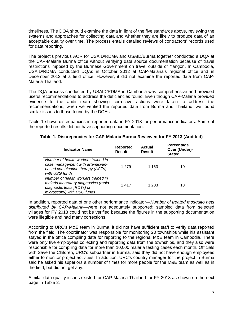timeliness. The DQA should examine the data in light of the five standards above, reviewing the systems and approaches for collecting data and whether they are likely to produce data of an acceptable quality over time. The process entails detailed reviews of contractors' records used for data reporting.

The project's previous AOR for USAID/RDMA and USAID/Burma together conducted a DQA at the CAP-Malaria Burma office without verifying data source documentation because of travel restrictions imposed by the Burmese Government on travel outside of Yangon. In Cambodia, USAID/RDMA conducted DQAs in October 2012 at CAP-Malaria's regional office and in December 2013 at a field office. However, it did not examine the reported data from CAP-Malaria Thailand.

The DQA process conducted by USAID/RDMA in Cambodia was comprehensive and provided useful recommendations to address the deficiencies found. Even though CAP-Malaria provided evidence to the audit team showing corrective actions were taken to address the recommendations, when we verified the reported data from Burma and Thailand, we found similar issues to those found by the DQAs.

Table 1 shows discrepancies in reported data in FY 2013 for performance indicators. Some of the reported results did not have supporting documentation.

| <b>Indicator Name</b>                                                                                                                    | <b>Reported</b><br><b>Result</b> | <b>Actual</b><br><b>Result</b> | Percentage<br>Over (Under)-<br><b>Stated</b> |
|------------------------------------------------------------------------------------------------------------------------------------------|----------------------------------|--------------------------------|----------------------------------------------|
| Number of health workers trained in<br>case management with artemisinin-<br>based combination therapy (ACTs)<br>with USG funds           | 1.279                            | 1.163                          | 10                                           |
| Number of health workers trained in<br>malaria laboratory diagnostics (rapid<br>diagnostic tests [RDTs] or<br>microscopy) with USG funds | 1.417                            | 1.203                          | 18                                           |

#### **Table 1. Discrepancies for CAP-Malaria Burma Reviewed for FY 2013 (Audited)**

In addition, reported data of one other performance indicator—*Number of treated mosquito nets distributed by CAP-Malaria—*were not adequately supported; sampled data from selected villages for FY 2013 could not be verified because the figures in the supporting documentation were illegible and had many corrections.

According to URC's M&E team in Burma, it did not have sufficient staff to verify data reported from the field. The coordinator was responsible for monitoring 20 townships while his assistant stayed in the office compiling data for reporting to the regional M&E team in Cambodia. There were only five employees collecting and reporting data from the townships, and they also were responsible for compiling data for more than 10,000 malaria testing cases each month. Officials with Save the Children, URC's subpartner in Burma, said they did not have enough employees either to monitor project activities. In addition, URC's country manager for the project in Burma said he asked his superiors a number of times for more people for the M&E team as well as in the field, but did not get any.

Similar data quality issues existed for CAP-Malaria Thailand for FY 2013 as shown on the next page in Table 2.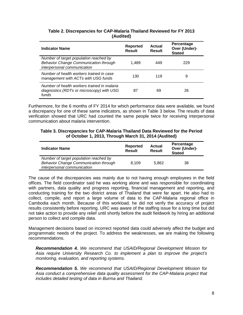| <b>Indicator Name</b>                                                                                                 | Reported<br>Result | Actual<br><b>Result</b> | Percentage<br>Over (Under)-<br><b>Stated</b> |
|-----------------------------------------------------------------------------------------------------------------------|--------------------|-------------------------|----------------------------------------------|
| Number of target population reached by<br><b>Behavior Change Communication through</b><br>interpersonal communication | 1.489              | 449                     | 229                                          |
| Number of health workers trained in case<br>management with ACTs with USG funds                                       | 130                | 119                     | 9                                            |
| Number of health workers trained in malaria<br>diagnostics (RDTs or microscopy) with USG<br>funds                     | 87                 | 69                      | 26                                           |

#### **Table 2. Discrepancies for CAP-Malaria Thailand Reviewed for FY 2013 (Audited)**

Furthermore, for the 6 months of FY 2014 for which performance data were available, we found a discrepancy for one of these same indicators, as shown in Table 3 below. The results of data verification showed that URC had counted the same people twice for receiving interpersonal communication about malaria intervention.

#### **Table 3. Discrepancies for CAP-Malaria Thailand Data Reviewed for the Period of October 1, 2013, Through March 31, 2014 (Audited)**

| <b>Indicator Name</b>                        | Reported<br>Result | Actual<br><b>Result</b> | Percentage<br>Over (Under)-<br><b>Stated</b> |
|----------------------------------------------|--------------------|-------------------------|----------------------------------------------|
| Number of target population reached by       |                    |                         |                                              |
| <b>Behavior Change Communication through</b> | 8.109              | 5.862                   | 38                                           |
| interpersonal communication                  |                    |                         |                                              |

The cause of the discrepancies was mainly due to not having enough employees in the field offices. The field coordinator said he was working alone and was responsible for coordinating with partners, data quality and progress reporting, financial management and reporting, and conducting training for the two district areas of Thailand that were far apart. He also had to collect, compile, and report a large volume of data to the CAP-Malaria regional office in Cambodia each month. Because of this workload, he did not verify the accuracy of project results consistently before reporting. URC was aware of the staffing issue for a long time but did not take action to provide any relief until shortly before the audit fieldwork by hiring an additional person to collect and compile data.

Management decisions based on incorrect reported data could adversely affect the budget and programmatic needs of the project. To address the weaknesses, we are making the following recommendations.

<span id="page-10-0"></span>*Recommendation 4. We recommend that USAID/Regional Development Mission for Asia require University Research Co. to implement a plan to improve the project's monitoring, evaluation, and reporting systems.*

<span id="page-10-1"></span>*Recommendation 5. We recommend that USAID/Regional Development Mission for Asia conduct a comprehensive data quality assessment for the CAP-Malaria project that includes detailed testing of data in Burma and Thailand.*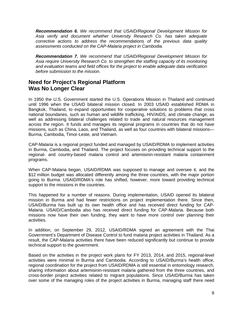<span id="page-11-1"></span>*Recommendation 6. We recommend that USAID/Regional Development Mission for Asia verify and document whether University Research Co. has taken adequate corrective actions to address the recommendations of the previous data quality assessments conducted on the CAP-Malaria project in Cambodia.* 

<span id="page-11-2"></span>*Recommendation 7. We recommend that USAID/Regional Development Mission for Asia require University Research Co. to strengthen the staffing capacity of its monitoring and evaluation teams and field offices for the project to enable adequate data verification before submission to the mission.* 

### <span id="page-11-0"></span>**Need for Project's Regional Platform Was No Longer Clear**

In 1950 the U.S. Government started the U.S. Operations Mission in Thailand and continued until 1996 when the USAID bilateral mission closed. In 2003 USAID established RDMA in Bangkok, Thailand, to expand opportunities for cooperative solutions to problems that cross national boundaries, such as human and wildlife trafficking, HIV/AIDS, and climate change, as well as addressing bilateral challenges related to trade and natural resources management across the region. It funds and manages its regional programs in countries that do not have missions, such as China, Laos, and Thailand, as well as four countries with bilateral missions— Burma, Cambodia, Timor-Leste, and Vietnam.

CAP-Malaria is a regional project funded and managed by USAID/RDMA to implement activities in Burma, Cambodia, and Thailand. The project focuses on providing technical support to the regional- and country-based malaria control and artemisinin-resistant malaria containment programs.

When CAP-Malaria began, USAID/RDMA was supposed to manage and oversee it, and the \$12 million budget was allocated differently among the three countries, with the major portion going to Burma. USAID/RDMA's role has shifted, however, more toward providing technical support to the missions in the countries.

This happened for a number of reasons. During implementation, USAID opened its bilateral mission in Burma and had fewer restrictions on project implementation there. Since then, USAID/Burma has built up its own health office and has received direct funding for CAP-Malaria. USAID/Cambodia also has received direct funding for CAP-Malaria. Because both missions now have their own funding, they want to have more control over planning their activities.

In addition, on September 29, 2012, USAID/RDMA signed an agreement with the Thai Government's Department of Disease Control to fund malaria project activities in Thailand. As a result, the CAP-Malaria activities there have been reduced significantly but continue to provide technical support to the government.

Based on the activities in the project work plans for FY 2013, 2014, and 2015, regional-level activities were minimal in Burma and Cambodia. According to USAID/Burma's health office, regional coordination for the project from USAID/RDMA is still essential in entomology research, sharing information about artemisinin-resistant malaria gathered from the three countries, and cross-border project activities related to migrant populations. Since USAID/Burma has taken over some of the managing roles of the project activities in Burma, managing staff there need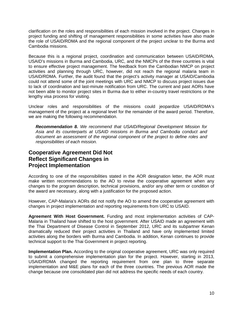clarification on the roles and responsibilities of each mission involved in the project. Changes in project funding and shifting of management responsibilities in some activities have also made the role of USAID/RDMA and the regional component of the project unclear to the Burma and Cambodia missions.

Because this is a regional project, coordination and communication between USAID/RDMA, USAID's missions in Burma and Cambodia, URC, and the NMCPs of the three countries is vital to ensure effective project management. The feedback from the Cambodian NMCP on project activities and planning through URC, however, did not reach the regional malaria team in USAID/RDMA. Further, the audit found that the project's activity manager at USAID/Cambodia could not attend some of the joint meetings with URC and NMCP to discuss project issues due to lack of coordination and last-minute notification from URC. The current and past AORs have not been able to monitor project sites in Burma due to either in-country travel restrictions or the lengthy visa process for visiting.

Unclear roles and responsibilities of the missions could jeopardize USAID/RDMA's management of the project at a regional level for the remainder of the award period. Therefore, we are making the following recommendation.

<span id="page-12-1"></span>*Recommendation 8. We recommend that USAID/Regional Development Mission for Asia and its counterparts at USAID missions in Burma and Cambodia conduct and document an assessment of the regional component of the project to define roles and responsibilities of each mission.*

### <span id="page-12-0"></span>**Cooperative Agreement Did Not Reflect Significant Changes in Project Implementation**

According to one of the responsibilities stated in the AOR designation letter, the AOR must make written recommendations to the AO to revise the cooperative agreement when any changes to the program description, technical provisions, and/or any other term or condition of the award are necessary, along with a justification for the proposed action.

However, CAP-Malaria's AORs did not notify the AO to amend the cooperative agreement with changes in project implementation and reporting requirements from URC to USAID.

**Agreement With Host Government.** Funding and most implementation activities of CAP-Malaria in Thailand have shifted to the host government. After USAID made an agreement with the Thai Department of Disease Control in September 2012, URC and its subpartner Kenan dramatically reduced their project activities in Thailand and have only implemented limited activities along the borders with Burma and Cambodia. In addition, Kenan continues to provide technical support to the Thai Government in project reporting.

**Implementation Plan.** According to the original cooperative agreement, URC was only required to submit a comprehensive implementation plan for the project. However, starting in 2013, USAID/RDMA changed the reporting requirement from one plan to three separate implementation and M&E plans for each of the three countries. The previous AOR made the change because one consolidated plan did not address the specific needs of each country.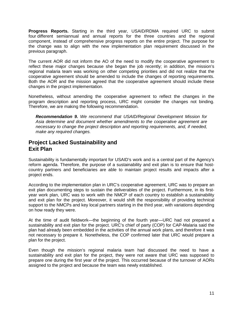**Progress Reports.** Starting in the third year, USAID/RDMA required URC to submit four different semiannual and annual reports for the three countries and the regional component, instead of comprehensive progress reports on the entire project. The purpose for the change was to align with the new implementation plan requirement discussed in the previous paragraph.

The current AOR did not inform the AO of the need to modify the cooperative agreement to reflect these major changes because she began the job recently; in addition, the mission's regional malaria team was working on other competing priorities and did not realize that the cooperative agreement should be amended to include the changes of reporting requirements. Both the AOR and the mission agreed that the cooperative agreement should include these changes in the project implementation.

Nonetheless, without amending the cooperative agreement to reflect the changes in the program description and reporting process, URC might consider the changes not binding. Therefore, we are making the following recommendation.

<span id="page-13-1"></span>*Recommendation 9. We recommend that USAID/Regional Development Mission for Asia determine and document whether amendments to the cooperative agreement are necessary to change the project description and reporting requirements, and, if needed, make any required changes.*

### <span id="page-13-0"></span>**Project Lacked Sustainability and Exit Plan**

Sustainability is fundamentally important for USAID's work and is a central part of the Agency's reform agenda. Therefore, the purpose of a sustainability and exit plan is to ensure that hostcountry partners and beneficiaries are able to maintain project results and impacts after a project ends.

According to the implementation plan in URC's cooperative agreement, URC was to prepare an exit plan documenting steps to sustain the deliverables of the project. Furthermore, in its firstyear work plan, URC was to work with the NMCP of each country to establish a sustainability and exit plan for the project. Moreover, it would shift the responsibility of providing technical support to the NMCPs and key local partners starting in the third year, with variations depending on how ready they were.

At the time of audit fieldwork—the beginning of the fourth year—URC had not prepared a sustainability and exit plan for the project. URC's chief of party (COP) for CAP-Malaria said the plan had already been embedded in the activities of the annual work plans, and therefore it was not necessary to prepare it. Nonetheless, the COP confirmed later that URC would prepare a plan for the project.

Even though the mission's regional malaria team had discussed the need to have a sustainability and exit plan for the project, they were not aware that URC was supposed to prepare one during the first year of the project. This occurred because of the turnover of AORs assigned to the project and because the team was newly established.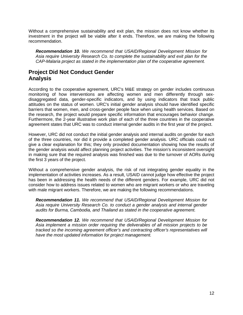Without a comprehensive sustainability and exit plan, the mission does not know whether its investment in the project will be viable after it ends. Therefore, we are making the following recommendation.

<span id="page-14-2"></span>*Recommendation 10. We recommend that USAID/Regional Development Mission for Asia require University Research Co. to complete the sustainability and exit plan for the CAP-Malaria project as stated in the implementation plan of the cooperative agreement.*

### <span id="page-14-0"></span>**Project Did Not Conduct Gender Analysis**

According to the cooperative agreement, URC's M&E strategy on gender includes continuous monitoring of how interventions are affecting women and men differently through sexdisaggregated data, gender-specific indicators, and by using indicators that track public attitudes on the status of women. URC's initial gender analysis should have identified specific barriers that women, men, and cross-gender people face when using health services. Based on the research, the project would prepare specific information that encourages behavior change. Furthermore, the 2-year illustrative work plan of each of the three countries in the cooperative agreement states that URC was to conduct internal gender audits in the first year of the project.

However, URC did not conduct the initial gender analysis and internal audits on gender for each of the three countries, nor did it provide a completed gender analysis. URC officials could not give a clear explanation for this; they only provided documentation showing how the results of the gender analysis would affect planning project activities. The mission's inconsistent oversight in making sure that the required analysis was finished was due to the turnover of AORs during the first 3 years of the project.

Without a comprehensive gender analysis, the risk of not integrating gender equality in the implementation of activities increases. As a result, USAID cannot judge how effective the project has been in addressing the health needs of the different genders. For example, URC did not consider how to address issues related to women who are migrant workers or who are traveling with male migrant workers. Therefore, we are making the following recommendations.

<span id="page-14-3"></span>*Recommendation 11. We recommend that USAID/Regional Development Mission for Asia require University Research Co. to conduct a gender analysis and internal gender audits for Burma, Cambodia, and Thailand as stated in the cooperative agreement.*

<span id="page-14-4"></span><span id="page-14-1"></span>*Recommendation 12. We recommend that USAID/Regional Development Mission for Asia implement a mission order requiring the deliverables of all mission projects to be tracked so the incoming agreement officer's and contracting officer's representatives will have the most updated information for project management.*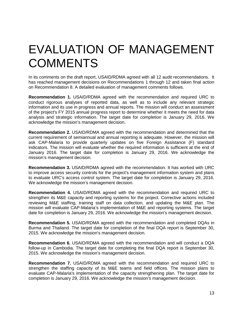## EVALUATION OF MANAGEMENT **COMMENTS**

In its comments on the draft report, USAID/RDMA agreed with all 12 audit recommendations. It has reached management decisions on Recommendations 1 through 12 and taken final action on Recommendation 8. A detailed evaluation of management comments follows.

**Recommendation 1.** USAID/RDMA agreed with the recommendation and required URC to conduct rigorous analyses of reported data, as well as to include any relevant strategic information and its use in progress and annual reports. The mission will conduct an assessment of the project's FY 2015 annual progress report to determine whether it meets the need for data analysis and strategic information. The target date for completion is January 29, 2016. We acknowledge the mission's management decision.

**Recommendation 2.** USAID/RDMA agreed with the recommendation and determined that the current requirement of semiannual and annual reporting is adequate. However, the mission will ask CAP-Malaria to provide quarterly updates on five Foreign Assistance (F) standard indicators. The mission will evaluate whether the required information is sufficient at the end of January 2016. The target date for completion is January 29, 2016. We acknowledge the mission's management decision.

**Recommendation 3.** USAID/RDMA agreed with the recommendation. It has worked with URC to improve access security controls for the project's management information system and plans to evaluate URC's access control system. The target date for completion is January 29, 2016. We acknowledge the mission's management decision.

**Recommendation 4.** USAID/RDMA agreed with the recommendation and required URC to strengthen its M&E capacity and reporting systems for the project. Corrective actions included reviewing M&E staffing, training staff on data collection, and updating the M&E plan. The mission will evaluate CAP-Malaria's implementation of M&E and reporting systems. The target date for completion is January 29, 2016. We acknowledge the mission's management decision.

**Recommendation 5.** USAID/RDMA agreed with the recommendation and completed DQAs in Burma and Thailand. The target date for completion of the final DQA report is September 30, 2015. We acknowledge the mission's management decision.

**Recommendation 6.** USAID/RDMA agreed with the recommendation and will conduct a DQA follow-up in Cambodia. The target date for completing the final DQA report is September 30, 2015. We acknowledge the mission's management decision.

**Recommendation 7.** USAID/RDMA agreed with the recommendation and required URC to strengthen the staffing capacity of its M&E teams and field offices. The mission plans to evaluate CAP-Malaria's implementation of the capacity strengthening plan. The target date for completion is January 29, 2016. We acknowledge the mission's management decision.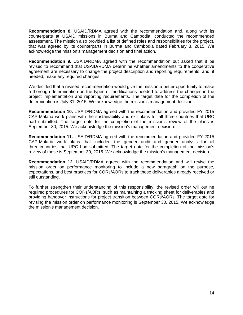**Recommendation 8.** USAID/RDMA agreed with the recommendation and, along with its counterparts at USAID missions in Burma and Cambodia, conducted the recommended assessment. The mission also provided a list of defined roles and responsibilities for the project, that was agreed by its counterparts in Burma and Cambodia dated February 3, 2015. We acknowledge the mission's management decision and final action.

**Recommendation 9.** USAID/RDMA agreed with the recommendation but asked that it be revised to recommend that USAID/RDMA determine whether amendments to the cooperative agreement are necessary to change the project description and reporting requirements, and, if needed, make any required changes.

We decided that a revised recommendation would give the mission a better opportunity to make a thorough determination on the types of modifications needed to address the changes in the project implementation and reporting requirements. The target date for the completion of the determination is July 31, 2015. We acknowledge the mission's management decision.

**Recommendation 10.** USAID/RDMA agreed with the recommendation and provided FY 2015 CAP-Malaria work plans with the sustainability and exit plans for all three countries that URC had submitted. The target date for the completion of the mission's review of the plans is September 30, 2015. We acknowledge the mission's management decision.

**Recommendation 11.** USAID/RDMA agreed with the recommendation and provided FY 2015 CAP-Malaria work plans that included the gender audit and gender analysis for all three countries that URC had submitted. The target date for the completion of the mission's review of these is September 30, 2015. We acknowledge the mission's management decision.

**Recommendation 12.** USAID/RDMA agreed with the recommendation and will revise the mission order on performance monitoring to include a new paragraph on the purpose, expectations, and best practices for CORs/AORs to track those deliverables already received or still outstanding.

To further strengthen their understanding of this responsibility, the revised order will outline required procedures for CORs/AORs, such as maintaining a tracking sheet for deliverables and providing handover instructions for project transition between CORs/AORs. The target date for revising the mission order on performance monitoring is September 30, 2015. We acknowledge the mission's management decision.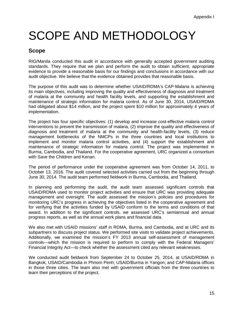## <span id="page-17-0"></span>SCOPE AND METHODOLOGY

### **Scope**

RIG/Manila conducted this audit in accordance with generally accepted government auditing standards. They require that we plan and perform the audit to obtain sufficient, appropriate evidence to provide a reasonable basis for our findings and conclusions in accordance with our audit objective. We believe that the evidence obtained provides that reasonable basis.

The purpose of this audit was to determine whether USAID/RDMA's CAP-Malaria is achieving its main objectives, including improving the quality and effectiveness of diagnosis and treatment of malaria at the community and health facility levels, and supporting the establishment and maintenance of strategic information for malaria control. As of June 30, 2014, USAID/RDMA had obligated about \$14 million, and the project spent \$10 million for approximately 4 years of implementation.

The project has four specific objectives: (1) develop and increase cost-effective malaria control interventions to prevent the transmission of malaria, (2) improve the quality and effectiveness of diagnosis and treatment of malaria at the community and health-facility levels, (3) reduce management bottlenecks of the NMCPs in the three countries and local institutions to implement and monitor malaria control activities, and (4) support the establishment and maintenance of strategic information for malaria control. The project was implemented in Burma, Cambodia, and Thailand. For the cooperative agreement, URC organized a consortium with Save the Children and Kenan.

The period of performance under the cooperative agreement was from October 14, 2011, to October 13, 2016. The audit covered selected activities carried out from the beginning through June 30, 2014. The audit team performed fieldwork in Burma, Cambodia, and Thailand.

In planning and performing the audit, the audit team assessed significant controls that USAID/RDMA used to monitor project activities and ensure that URC was providing adequate management and oversight. The audit assessed the mission's policies and procedures for monitoring URC's progress in achieving the objectives listed in the cooperative agreement and for verifying that the activities funded by USAID conform to the terms and conditions of that award. In addition to the significant controls, we assessed URC's semiannual and annual progress reports, as well as the annual work plans and financial data.

We also met with USAID missions' staff in RDMA, Burma, and Cambodia, and at URC and its subpartners to discuss project status. We performed site visits to validate project achievements. Additionally, we examined the mission's FY 2013 annual self-assessment of management controls—which the mission is required to perform to comply with the Federal Managers' Financial Integrity Act—to check whether the assessment cited any relevant weaknesses.

We conducted audit fieldwork from September 24 to October 25, 2014, at USAID/RDMA in Bangkok; USAID/Cambodia in Phnom Penh; USAID/Burma in Yangon; and CAP-Malaria offices in those three cities. The team also met with government officials from the three countries to learn their perceptions of the project.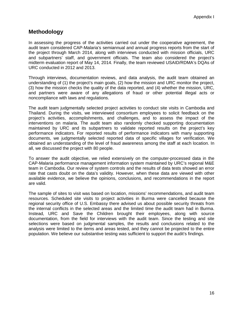### **Methodology**

In assessing the progress of the activities carried out under the cooperative agreement, the audit team considered CAP-Malaria's semiannual and annual progress reports from the start of the project through March 2014, along with interviews conducted with mission officials, URC and subpartners' staff, and government officials. The team also considered the project's midterm evaluation report of May 14, 2014. Finally, the team reviewed USAID/RDMA's DQAs of URC conducted in 2012 and 2013.

Through interviews, documentation reviews, and data analysis, the audit team obtained an understanding of (1) the project's main goals, (2) how the mission and URC monitor the project, (3) how the mission checks the quality of the data reported, and (4) whether the mission, URC, and partners were aware of any allegations of fraud or other potential illegal acts or noncompliance with laws and regulations.

The audit team judgmentally selected project activities to conduct site visits in Cambodia and Thailand. During the visits, we interviewed consortium employees to solicit feedback on the project's activities, accomplishments, and challenges, and to assess the impact of the interventions on malaria. The audit team also randomly checked supporting documentation maintained by URC and its subpartners to validate reported results on the project's key performance indicators. For reported results of performance indicators with many supporting documents, we judgmentally selected reported data of specific villages for verification. We obtained an understanding of the level of fraud awareness among the staff at each location. In all, we discussed the project with 80 people.

To answer the audit objective, we relied extensively on the computer-processed data in the CAP-Malaria performance management information system maintained by URC's regional M&E team in Cambodia. Our review of system controls and the results of data tests showed an error rate that casts doubt on the data's validity. However, when these data are viewed with other available evidence, we believe the opinions, conclusions, and recommendations in the report are valid.

The sample of sites to visit was based on location, missions' recommendations, and audit team resources. Scheduled site visits to project activities in Burma were cancelled because the regional security office of U.S. Embassy there advised us about possible security threats from the internal conflicts in the selected areas and the limited time the audit team had in Burma. Instead, URC and Save the Children brought their employees, along with source documentation, from the field for interviews with the audit team. Since the testing and site selections were based on judgmental samples, the results and conclusions related to the analysis were limited to the items and areas tested, and they cannot be projected to the entire population. We believe our substantive testing was sufficient to support the audit's findings.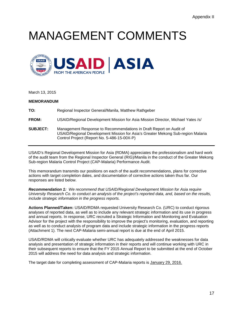## <span id="page-19-0"></span>MANAGEMENT COMMENTS



March 13, 2015

| <b>MEMORANDUM</b> |                                                      |
|-------------------|------------------------------------------------------|
| TO:               | Regional Inspector General/Manila, Matthew Rathgeber |

- **FROM:** USAID/Regional Development Mission for Asia Mission Director, Michael Yates /s/
- **SUBJECT:** Management Response to Recommendations in Draft Report on Audit of USAID/Regional Development Mission for Asia's Greater Mekong Sub-region Malaria Control Project (Report No. 5-486-15-00X-P)

USAID's Regional Development Mission for Asia (RDMA) appreciates the professionalism and hard work of the audit team from the Regional Inspector General (RIG)/Manila in the conduct of the Greater Mekong Sub-region Malaria Control Project (CAP-Malaria) Performance Audit.

This memorandum transmits our positions on each of the audit recommendations, plans for corrective actions with target completion dates, and documentation of corrective actions taken thus far. Our responses are listed below.

*Recommendation 1: We recommend that USAID/Regional Development Mission for Asia require University Research Co. to conduct an analysis of the project's reported data, and, based on the results, include strategic information in the progress reports.*

**Actions Planned/Taken:** USAID/RDMA requested University Research Co. (URC) to conduct rigorous analyses of reported data, as well as to include any relevant strategic information and its use in progress and annual reports. In response, URC recruited a Strategic Information and Monitoring and Evaluation Advisor for the project with the responsibility to improve the project's monitoring, evaluation, and reporting as well as to conduct analysis of program data and include strategic information in the progress reports (Attachment 1). The next CAP-Malaria semi-annual report is due at the end of April 2015.

USAID/RDMA will critically evaluate whether URC has adequately addressed the weaknesses for data analysis and presentation of strategic information in their reports and will continue working with URC in their subsequent reports to ensure that the FY 2015 Annual Report to be submitted at the end of October 2015 will address the need for data analysis and strategic information.

The target date for completing assessment of CAP-Malaria reports is January 29, 2016.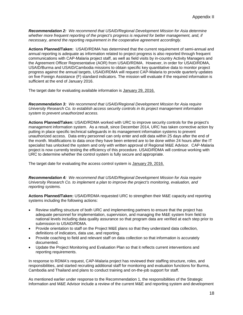*Recommendation 2: We recommend that USAID/Regional Development Mission for Asia determine whether more frequent reporting of the project's progress is required for better management, and, if necessary, amend the reporting requirement in the cooperative agreement accordingly.*

**Actions Planned/Taken:** USAID/RDMA has determined that the current requirement of semi-annual and annual reporting is adequate as information related to project progress is also reported through frequent communications with CAP-Malaria project staff, as well as field visits by in-country Activity Managers and the Agreement Officer Representative (AOR) from USAID/RDMA. However, in order for USAID/RDMA, USAID/Burma and USAID/Cambodia missions to obtain specific key quantitative data to monitor project progress against the annual targets, USAID/RDMA will request CAP-Malaria to provide quarterly updates on five Foreign Assistance (F) standard indicators. The mission will evaluate if the required information is sufficient at the end of January 2016.

The target date for evaluating available information is January 29, 2016.

*Recommendation 3: We recommend that USAID/Regional Development Mission for Asia require University Research Co. to establish access security controls in its project management information system to prevent unauthorized access.*

**Actions Planned/Taken:** USAID/RDMA worked with URC to improve security controls for the project's management information system. As a result, since December 2014, URC has taken corrective action by putting in place specific technical safeguards in its management information systems to prevent unauthorized access. Data entry personnel can only enter and edit data within 25 days after the end of the month. Modifications to data once they have been entered are to be done within 24 hours after the IT specialist has unlocked the system and only with written approval of Regional M&E Advisor. CAP-Malaria project is now currently testing the efficiency of this procedure. USAID/RDMA will continue working with URC to determine whether the control system is fully secure and appropriate.

The target date for evaluating the access control system is January 29, 2016.

*Recommendation 4: We recommend that USAID/Regional Development Mission for Asia require University Research Co. to implement a plan to improve the project's monitoring, evaluation, and reporting systems.*

**Actions Planned/Taken:** USAID/RDMA requested URC to strengthen their M&E capacity and reporting systems including the following actions:

- Review staffing structure of both URC and implementing partners to ensure that the project has adequate personnel for implementation, supervision, and managing the M&E system from field to national levels including data quality assurance so that program data are verified at each step prior to submission to USAID/RDMA.
- Provide orientation to staff on the Project M&E plans so that they understand data collection, definitions of indicators, data use, and reporting.
- Provide coaching to field and relevant staff on data collection so that information is accurately documented.
- Update the Project Monitoring and Evaluation Plan so that it reflects current interventions and reporting requirements.

In response to RDMA's request, CAP-Malaria project has reviewed their staffing structure, roles, and responsibilities, and started recruiting additional staff for monitoring and evaluation functions for Burma, Cambodia and Thailand and plans to conduct training and on-the-job support for staff.

As mentioned earlier under response to the Recommendation 1, the responsibilities of the Strategic Information and M&E Advisor include a review of the current M&E and reporting system and development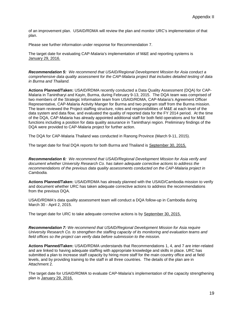of an improvement plan. USAID/RDMA will review the plan and monitor URC's implementation of that plan.

Please see further information under response for Recommendation 7.

The target date for evaluating CAP-Malaria's implementation of M&E and reporting systems is January 29, 2016.

*Recommendation 5: We recommend that USAID/Regional Development Mission for Asia conduct a comprehensive data quality assessment for the CAP-Malaria project that includes detailed testing of data in Burma and Thailand.*

**Actions Planned/Taken:** USAID/RDMA recently conducted a Data Quality Assessment (DQA) for CAP-Malaria in Tanintharyi and Kayin, Burma, during February 9-13, 2015. The DQA team was comprised of two members of the Strategic Information team from USAID/RDMA, CAP-Malaria's Agreement Officer Representative, CAP-Malaria Activity Manger for Burma and two program staff from the Burma mission. The team reviewed the Project staffing structure, roles and responsibilities of M&E at each level of the data system and data flow, and evaluated the quality of reported data for the FY 2014 period. At the time of the DQA, CAP-Malaria has already appointed additional staff for both field operations and for M&E functions including a position for data quality assurance in Tanintharyi region. Preliminary findings of the DQA were provided to CAP-Malaria project for further action.

The DQA for CAP-Malaria Thailand was conducted in Ranong Province (March 9-11, 2015).

The target date for final DQA reports for both Burma and Thailand is September 30, 2015.

*Recommendation 6: We recommend that USAID/Regional Development Mission for Asia verify and document whether University Research Co. has taken adequate corrective actions to address the recommendations of the previous data quality assessments conducted on the CAP-Malaria project in Cambodia.*

**Actions Planned/Taken:** USAID/RDMA has already planned with the USAID/Cambodia mission to verify and document whether URC has taken adequate corrective actions to address the recommendations from the previous DQA.

USAID/RDMA's data quality assessment team will conduct a DQA follow-up in Cambodia during March 30 - April 2, 2015.

The target date for URC to take adequate corrective actions is by September 30, 2015.

*Recommendation 7: We recommend that USAID/Regional Development Mission for Asia require University Research Co. to strengthen the staffing capacity of its monitoring and evaluation teams and field offices so the project can verify data before submission to the mission.*

**Actions Planned/Taken:** USAID/RDMA understands that Recommendations 1, 4, and 7 are inter-related and are linked to having adequate staffing with appropriate knowledge and skills in place. URC has submitted a plan to increase staff capacity by hiring more staff for the main country office and at field levels, and by providing training to the staff in all three countries. The details of the plan are in Attachment 2.

The target date for USAID/RDMA to evaluate CAP-Malaria's implementation of the capacity strengthening plan is January 29, 2016.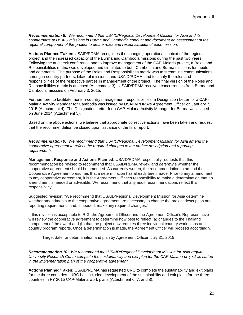*Recommendation 8: We recommend that USAID/Regional Development Mission for Asia and its counterparts at USAID missions in Burma and Cambodia conduct and document an assessment of the regional component of the project to define roles and responsibilities of each mission.*

**Actions Planned/Taken:** USAID/RDMA recognizes the changing operational context of the regional project and the increased capacity of the Burma and Cambodia missions during the past two years. Following the audit exit conference and to improve management of the CAP-Malaria project, a Roles and Responsibilities matrix was developed and circulated to both Cambodia and Burma missions for inputs and comments. The purpose of the Roles and Responsibilities matrix was to streamline communications among in-country partners, bilateral missions, and USAID/RDMA, and to clarify the roles and responsibilities of the respective parties in management of the project. The final version of the Roles and Responsibilities matrix is attached (Attachment 3). USAID/RDMA received concurrences from Burma and Cambodia missions on February 3, 2015.

Furthermore, to facilitate more in-country management responsibilities, a Designation Letter for a CAP-Malaria Activity Manager for Cambodia was issued by USAID/RDMA's Agreement Officer on January 7, 2015 (Attachment 4). The Designation Letter for a CAP-Malaria Activity Manager for Burma was issued on June 2014 (Attachment 5).

Based on the above actions, we believe that appropriate corrective actions have been taken and request that the recommendation be closed upon issuance of the final report.

*Recommendation 9: We recommend that USAID/Regional Development Mission for Asia amend the cooperative agreement to reflect the required changes to the project description and reporting requirements.*

**Management Response and Actions Planned:** USAID/RDMA respectfully requests that this recommendation be revised to recommend that USAID/RDMA *review* and *determine* whether the cooperative agreement should be amended. As currently written, the recommendation to amend the Cooperative Agreement presumes that a determination has already been made. Prior to any amendment to any cooperative agreement, it is the Agreement Officer's responsibility to make a determination that an amendment is needed or advisable. We recommend that any audit recommendations reflect this responsibility.

Suggested revision: "We recommend that USAID/Regional Development Mission for Asia determine whether amendments to the cooperative agreement are necessary to change the project description and reporting requirements and, if needed, make any required changes."

If this revision is acceptable to RIG, the Agreement Officer and the Agreement Officer's Representative will review the cooperative agreement to determine how best to reflect (a) changes to the Thailand component of the award and (b) that the project now requires three individual country work plans and country program reports. Once a determination is made, the Agreement Officer will proceed accordingly.

Target date for determination and plan by Agreement Officer: July 31, 2015

*Recommendation 10: We recommend that USAID/Regional Development Mission for Asia require University Research Co. to complete the sustainability and exit plan for the CAP-Malaria project as stated in the implementation plan of the cooperative agreement.*

**Actions Planned/Taken:** USAID/RDMA has requested URC to complete the sustainability and exit plans for the three countries. URC has included development of the sustainability and exit plans for the three countries in FY 2015 CAP-Malaria work plans (Attachment 6, 7, and 8).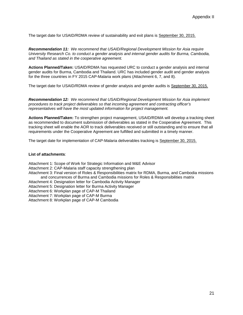The target date for USAID/RDMA review of sustainability and exit plans is September 30, 2015.

*Recommendation 11: We recommend that USAID/Regional Development Mission for Asia require University Research Co. to conduct a gender analysis and internal gender audits for Burma, Cambodia, and Thailand as stated in the cooperative agreement.*

**Actions Planned/Taken:** USAID/RDMA has requested URC to conduct a gender analysis and internal gender audits for Burma, Cambodia and Thailand. URC has included gender audit and gender analysis for the three countries in FY 2015 CAP-Malaria work plans (Attachment 6, 7, and 8).

The target date for USAID/RDMA review of gender analysis and gender audits is September 30, 2015.

*Recommendation 12: We recommend that USAID/Regional Development Mission for Asia implement procedures to track project deliverables so that incoming agreement and contracting officer's representatives will have the most updated information for project management.*

**Actions Planned/Taken:** To strengthen project management, USAID/RDMA will develop a tracking sheet as recommended to document submission of deliverables as stated in the Cooperative Agreement. This tracking sheet will enable the AOR to track deliverables received or still outstanding and to ensure that all requirements under the Cooperative Agreement are fulfilled and submitted in a timely manner.

The target date for implementation of CAP-Malaria deliverables tracking is September 30, 2015.

#### **List of attachments**:

- Attachment 1: Scope of Work for Strategic Information and M&E Advisor
- Attachment 2: CAP-Malaria staff capacity strengthening plan
- Attachment 3: Final version of Roles & Responsibilities matrix for RDMA, Burma, and Cambodia missions and concurrences of Burma and Cambodia missions for Roles & Responsibilities matrix
- Attachment 4: Designation letter for Cambodia Activity Manager
- Attachment 5: Designation letter for Burma Activity Manager
- Attachment 6: Workplan page of CAP-M Thailand

Attachment 7: Workplan page of CAP-M Burma

Attachment 8: Workplan page of CAP-M Cambodia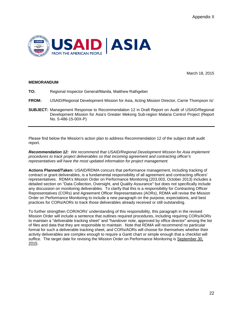

March 18, 2015

#### **MEMORANDUM**

- **TO:** Regional Inspector General/Manila, Matthew Rathgeber
- **FROM:** USAID/Regional Development Mission for Asia, Acting Mission Director, Carrie Thompson /s/
- **SUBJECT:** Management Response to Recommendation 12 in Draft Report on Audit of USAID/Regional Development Mission for Asia's Greater Mekong Sub-region Malaria Control Project (Report No. 5-486-15-00X-P)

Please find below the Mission's action plan to address Recommendation 12 of the subject draft audit report.

*Recommendation 12: We recommend that USAID/Regional Development Mission for Asia implement procedures to track project deliverables so that incoming agreement and contracting officer's representatives will have the most updated information for project management.*

**Actions Planned/Taken:** USAID/RDMA concurs that performance management, including tracking of contract or grant deliverables, is a fundamental responsibility of all agreement and contracting officers' representatives. RDMA's Mission Order on Performance Monitoring (203.003, October 2013) includes a detailed section on "Data Collection, Oversight, and Quality Assurance" but does not specifically include any discussion on monitoring deliverables. To clarify that this is a responsibility for Contracting Officer Representatives (CORs) and Agreement Officer Representatives (AORs), RDMA will revise the Mission Order on Performance Monitoring to include a new paragraph on the purpose, expectations, and best practices for CORs/AORs to track those deliverables already received or still outstanding.

To further strengthen COR/AORs' understanding of this responsibility, this paragraph in the revised Mission Order will include a sentence that outlines required procedures, including requiring CORs/AORs to maintain a "deliverable tracking sheet" and "handover note, approved by office director" among the list of files and data that they are responsible to maintain. Note that RDMA will recommend no particular format for such a deliverable tracking sheet, and CORs/AORs will choose for themselves whether their activity deliverables are complex enough to require a Gantt chart or simple enough that a checklist will suffice. The target date for revising the Mission Order on Performance Monitoring is September 30, 2015.